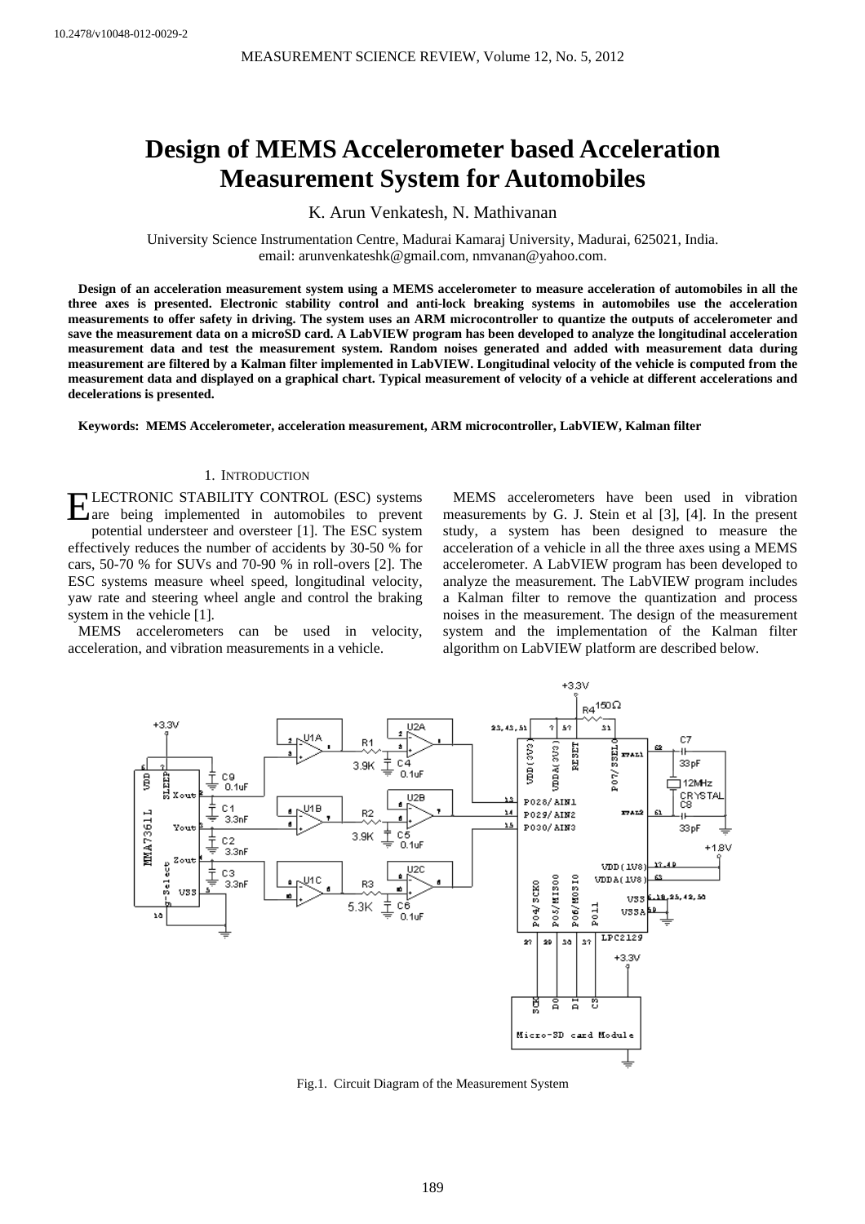# **Design of MEMS Accelerometer based Acceleration Measurement System for Automobiles**

K. Arun Venkatesh, N. Mathivanan

University Science Instrumentation Centre, Madurai Kamaraj University, Madurai, 625021, India. email: arunvenkateshk@gmail.com, nmvanan@yahoo.com.

**Design of an acceleration measurement system using a MEMS accelerometer to measure acceleration of automobiles in all the three axes is presented. Electronic stability control and anti-lock breaking systems in automobiles use the acceleration measurements to offer safety in driving. The system uses an ARM microcontroller to quantize the outputs of accelerometer and save the measurement data on a microSD card. A LabVIEW program has been developed to analyze the longitudinal acceleration measurement data and test the measurement system. Random noises generated and added with measurement data during measurement are filtered by a Kalman filter implemented in LabVIEW. Longitudinal velocity of the vehicle is computed from the measurement data and displayed on a graphical chart. Typical measurement of velocity of a vehicle at different accelerations and decelerations is presented.** 

**Keywords: MEMS Accelerometer, acceleration measurement, ARM microcontroller, LabVIEW, Kalman filter** 

# 1. INTRODUCTION

LECTRONIC STABILITY CONTROL (ESC) systems ELECTRONIC STABILITY CONTROL (ESC) systems<br>
are being implemented in automobiles to prevent potential understeer and oversteer [1]. The ESC system effectively reduces the number of accidents by 30-50 % for cars, 50-70 % for SUVs and 70-90 % in roll-overs [2]. The ESC systems measure wheel speed, longitudinal velocity, yaw rate and steering wheel angle and control the braking system in the vehicle [1].

MEMS accelerometers can be used in velocity, acceleration, and vibration measurements in a vehicle.

MEMS accelerometers have been used in vibration measurements by G. J. Stein et al [3], [4]. In the present study, a system has been designed to measure the acceleration of a vehicle in all the three axes using a MEMS accelerometer. A LabVIEW program has been developed to analyze the measurement. The LabVIEW program includes a Kalman filter to remove the quantization and process noises in the measurement. The design of the measurement system and the implementation of the Kalman filter algorithm on LabVIEW platform are described below.



Fig.1. Circuit Diagram of the Measurement System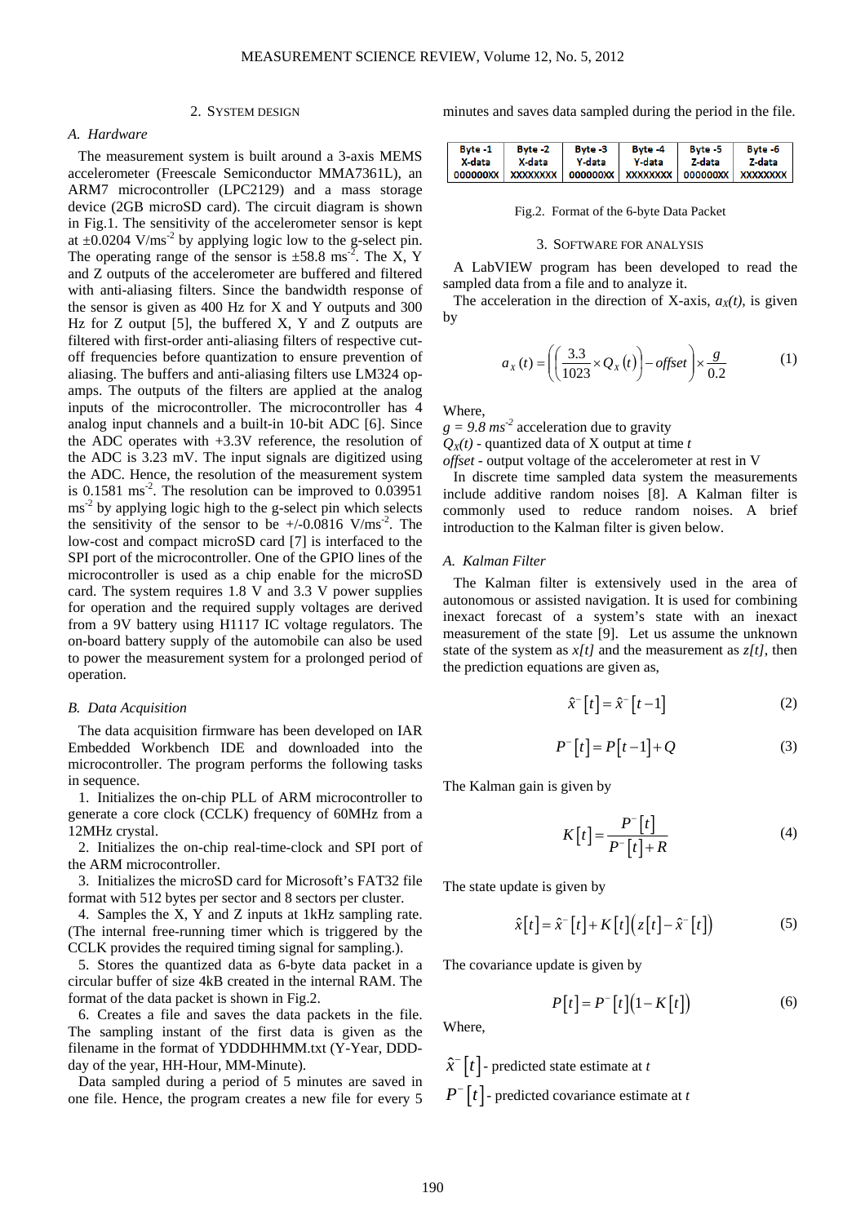# 2. SYSTEM DESIGN

# *A. Hardware*

The measurement system is built around a 3-axis MEMS accelerometer (Freescale Semiconductor MMA7361L), an ARM7 microcontroller (LPC2129) and a mass storage device (2GB microSD card). The circuit diagram is shown in Fig.1. The sensitivity of the accelerometer sensor is kept at  $\pm 0.0204$  V/ms<sup>-2</sup> by applying logic low to the g-select pin. The operating range of the sensor is  $\pm 58.8$  ms<sup>-2</sup>. The X, Y and Z outputs of the accelerometer are buffered and filtered with anti-aliasing filters. Since the bandwidth response of the sensor is given as 400 Hz for X and Y outputs and 300 Hz for Z output [5], the buffered X, Y and Z outputs are filtered with first-order anti-aliasing filters of respective cutoff frequencies before quantization to ensure prevention of aliasing. The buffers and anti-aliasing filters use LM324 opamps. The outputs of the filters are applied at the analog inputs of the microcontroller. The microcontroller has 4 analog input channels and a built-in 10-bit ADC [6]. Since the ADC operates with +3.3V reference, the resolution of the ADC is 3.23 mV. The input signals are digitized using the ADC. Hence, the resolution of the measurement system is  $0.1581 \text{ ms}^{-2}$ . The resolution can be improved to  $0.03951$ ms<sup>-2</sup> by applying logic high to the g-select pin which selects the sensitivity of the sensor to be  $+/-0.0816$  V/ms<sup>-2</sup>. The low-cost and compact microSD card [7] is interfaced to the SPI port of the microcontroller. One of the GPIO lines of the microcontroller is used as a chip enable for the microSD card. The system requires 1.8 V and 3.3 V power supplies for operation and the required supply voltages are derived from a 9V battery using H1117 IC voltage regulators. The on-board battery supply of the automobile can also be used to power the measurement system for a prolonged period of operation.

## *B. Data Acquisition*

The data acquisition firmware has been developed on IAR Embedded Workbench IDE and downloaded into the microcontroller. The program performs the following tasks in sequence.

1. Initializes the on-chip PLL of ARM microcontroller to generate a core clock (CCLK) frequency of 60MHz from a 12MHz crystal.

2. Initializes the on-chip real-time-clock and SPI port of the ARM microcontroller.

3. Initializes the microSD card for Microsoft's FAT32 file format with 512 bytes per sector and 8 sectors per cluster.

4. Samples the X, Y and Z inputs at 1kHz sampling rate. (The internal free-running timer which is triggered by the CCLK provides the required timing signal for sampling.).

5. Stores the quantized data as 6-byte data packet in a circular buffer of size 4kB created in the internal RAM. The format of the data packet is shown in Fig.2.

6. Creates a file and saves the data packets in the file. The sampling instant of the first data is given as the filename in the format of YDDDHHMM.txt (Y-Year, DDDday of the year, HH-Hour, MM-Minute).

Data sampled during a period of 5 minutes are saved in one file. Hence, the program creates a new file for every 5 minutes and saves data sampled during the period in the file.

| Byte -1 | Byte -2           | Byte -3 | Byte -4 | Byte -5 | Byte -6 |
|---------|-------------------|---------|---------|---------|---------|
| X-data  | X-data            | Y-data  | Y-data  | Z-data  | Z-data  |
|         | 000000XX XXXXXXXX |         |         |         |         |

Fig.2. Format of the 6-byte Data Packet

# 3. SOFTWARE FOR ANALYSIS

A LabVIEW program has been developed to read the sampled data from a file and to analyze it.

The acceleration in the direction of X-axis,  $a<sub>x</sub>(t)$ , is given by

$$
a_x(t) = \left( \left( \frac{3.3}{1023} \times Q_x(t) \right) - \text{offset} \right) \times \frac{g}{0.2}
$$
 (1)

Where,

 $g = 9.8 \text{ ms}^{-2}$  acceleration due to gravity

 $Q_X(t)$  - quantized data of X output at time *t* 

*offset* - output voltage of the accelerometer at rest in V

In discrete time sampled data system the measurements include additive random noises [8]. A Kalman filter is commonly used to reduce random noises. A brief introduction to the Kalman filter is given below.

#### *A. Kalman Filter*

The Kalman filter is extensively used in the area of autonomous or assisted navigation. It is used for combining inexact forecast of a system's state with an inexact measurement of the state [9]. Let us assume the unknown state of the system as *x[t]* and the measurement as *z[t]*, then the prediction equations are given as,

$$
\hat{x}^-\left[t\right] = \hat{x}^-\left[t-1\right] \tag{2}
$$

$$
P^{-}[t] = P[t-1] + Q \tag{3}
$$

The Kalman gain is given by

$$
K[t] = \frac{P^{-}[t]}{P^{-}[t] + R}
$$
 (4)

The state update is given by

$$
\hat{x}[t] = \hat{x}^{-}[t] + K[t]\big(z[t] - \hat{x}^{-}[t]\big) \tag{5}
$$

The covariance update is given by

$$
P[t] = P^{-}[t](1 - K[t])
$$
\n(6)

Where,

 $\hat{x}$ <sup>–</sup>  $\lceil t \rceil$  – predicted state estimate at *t*  $P^{-}$   $|t|$  - predicted covariance estimate at *t*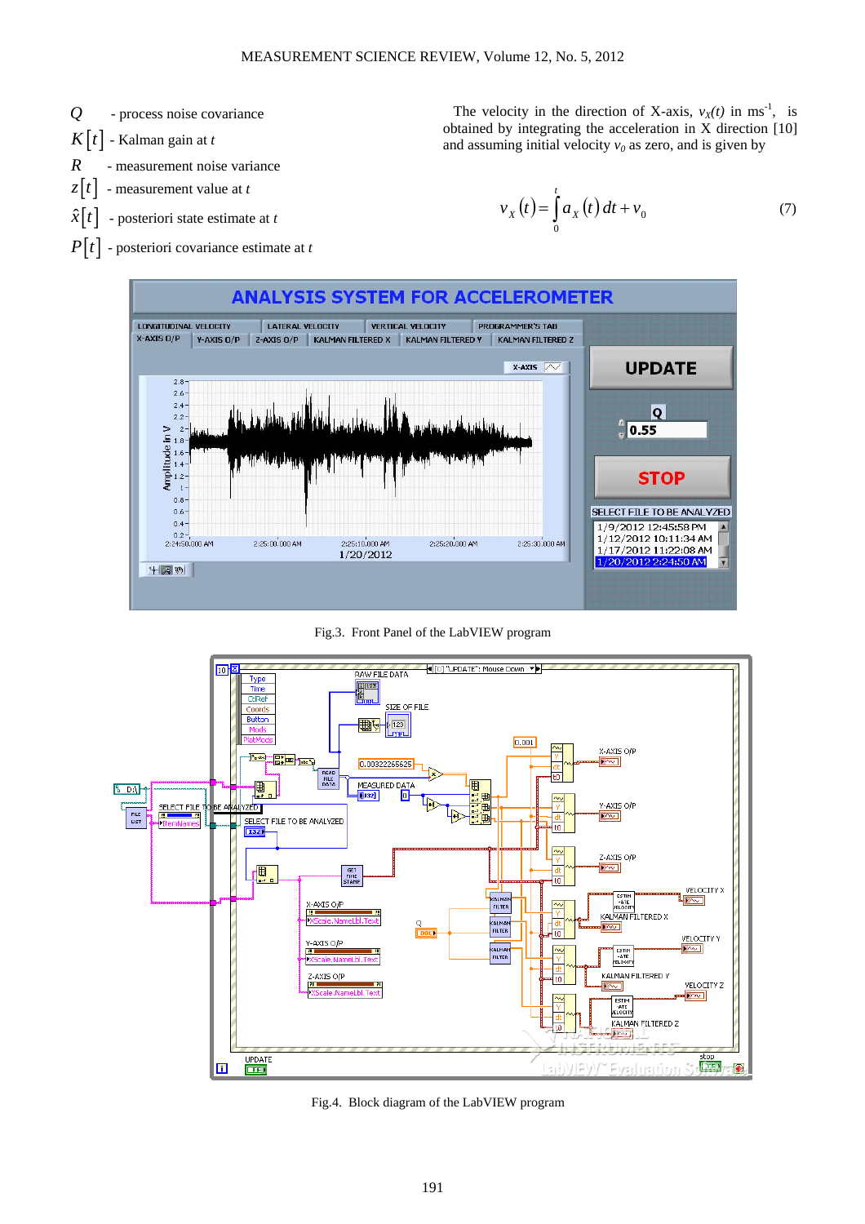

obtained by integrating the acceleration in X direction [10] and assuming initial velocity  $v_0$  as zero, and is given by

The velocity in the direction of X-axis,  $v_X(t)$  in ms<sup>-1</sup>, is

$$
v_X(t) = \int_0^t a_X(t) dt + v_0 \tag{7}
$$

 $P[t]$  - posteriori covariance estimate at *t* 



Fig.3. Front Panel of the LabVIEW program



Fig.4. Block diagram of the LabVIEW program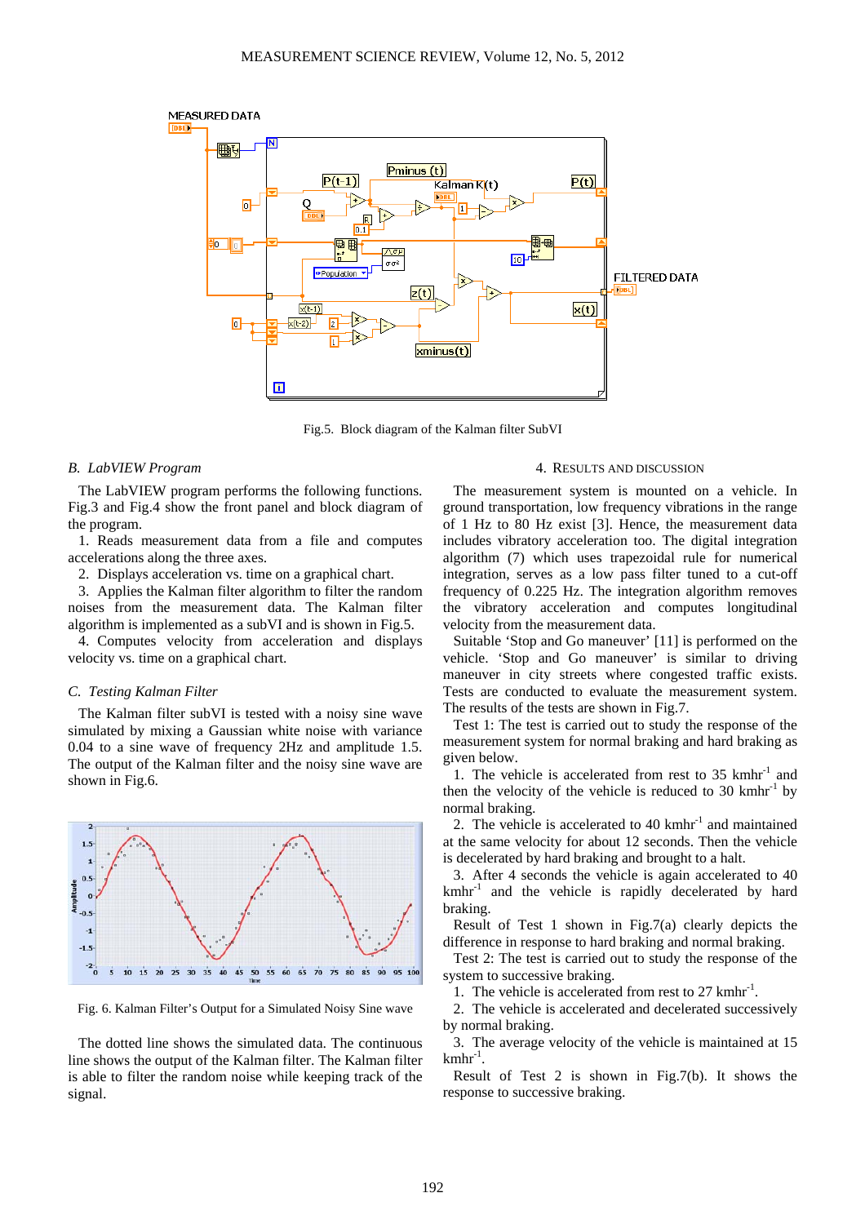

Fig.5. Block diagram of the Kalman filter SubVI

# *B. LabVIEW Program*

The LabVIEW program performs the following functions. Fig.3 and Fig.4 show the front panel and block diagram of the program.

1. Reads measurement data from a file and computes accelerations along the three axes.

2. Displays acceleration vs. time on a graphical chart.

3. Applies the Kalman filter algorithm to filter the random noises from the measurement data. The Kalman filter algorithm is implemented as a subVI and is shown in Fig.5.

4. Computes velocity from acceleration and displays velocity vs. time on a graphical chart.

# *C. Testing Kalman Filter*

The Kalman filter subVI is tested with a noisy sine wave simulated by mixing a Gaussian white noise with variance 0.04 to a sine wave of frequency 2Hz and amplitude 1.5. The output of the Kalman filter and the noisy sine wave are shown in Fig.6.



Fig. 6. Kalman Filter's Output for a Simulated Noisy Sine wave

The dotted line shows the simulated data. The continuous line shows the output of the Kalman filter. The Kalman filter is able to filter the random noise while keeping track of the signal.

# 4. RESULTS AND DISCUSSION

The measurement system is mounted on a vehicle. In ground transportation, low frequency vibrations in the range of 1 Hz to 80 Hz exist [3]. Hence, the measurement data includes vibratory acceleration too. The digital integration algorithm (7) which uses trapezoidal rule for numerical integration, serves as a low pass filter tuned to a cut-off frequency of 0.225 Hz. The integration algorithm removes the vibratory acceleration and computes longitudinal velocity from the measurement data.

Suitable 'Stop and Go maneuver' [11] is performed on the vehicle. 'Stop and Go maneuver' is similar to driving maneuver in city streets where congested traffic exists. Tests are conducted to evaluate the measurement system. The results of the tests are shown in Fig.7.

Test 1: The test is carried out to study the response of the measurement system for normal braking and hard braking as given below.

1. The vehicle is accelerated from rest to  $35 \text{ km hr}^{-1}$  and then the velocity of the vehicle is reduced to  $30 \text{ km} \text{hr}^{-1}$  by normal braking.

2. The vehicle is accelerated to  $40 \text{ km} \text{hr}^{-1}$  and maintained at the same velocity for about 12 seconds. Then the vehicle is decelerated by hard braking and brought to a halt.

3. After 4 seconds the vehicle is again accelerated to 40  $kmhr<sup>-1</sup>$  and the vehicle is rapidly decelerated by hard braking.

Result of Test 1 shown in Fig.7(a) clearly depicts the difference in response to hard braking and normal braking.

Test 2: The test is carried out to study the response of the system to successive braking.

1. The vehicle is accelerated from rest to 27 kmhr<sup>-1</sup>.

2. The vehicle is accelerated and decelerated successively by normal braking.

3. The average velocity of the vehicle is maintained at 15  $kmhr<sup>-1</sup>$ .

Result of Test 2 is shown in Fig.7(b). It shows the response to successive braking.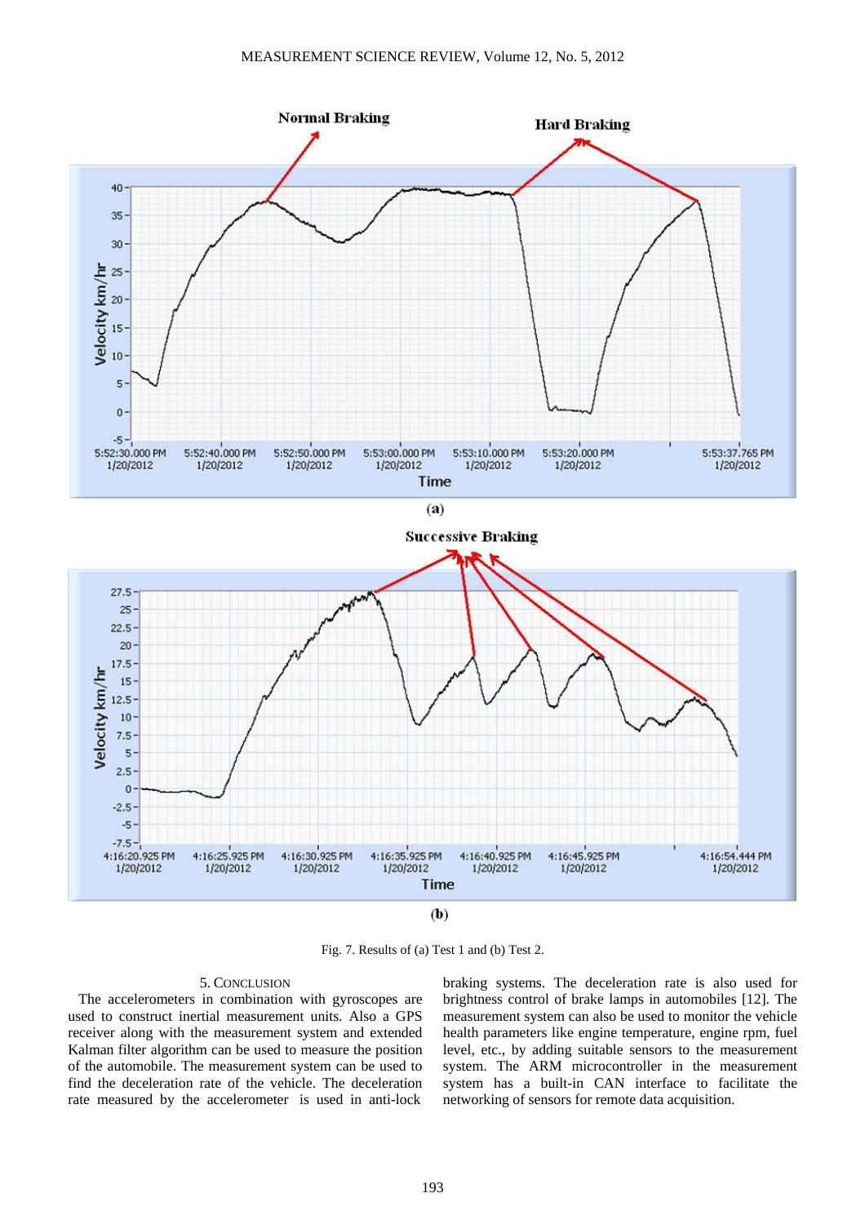

Fig. 7. Results of (a) Test 1 and (b) Test 2.

# 5. CONCLUSION

The accelerometers in combination with gyroscopes are used to construct inertial measurement units. Also a GPS receiver along with the measurement system and extended Kalman filter algorithm can be used to measure the position of the automobile. The measurement system can be used to find the deceleration rate of the vehicle. The deceleration rate measured by the accelerometer is used in anti-lock

braking systems. The deceleration rate is also used for brightness control of brake lamps in automobiles [12]. The measurement system can also be used to monitor the vehicle health parameters like engine temperature, engine rpm, fuel level, etc., by adding suitable sensors to the measurement system. The ARM microcontroller in the measurement system has a built-in CAN interface to facilitate the networking of sensors for remote data acquisition.